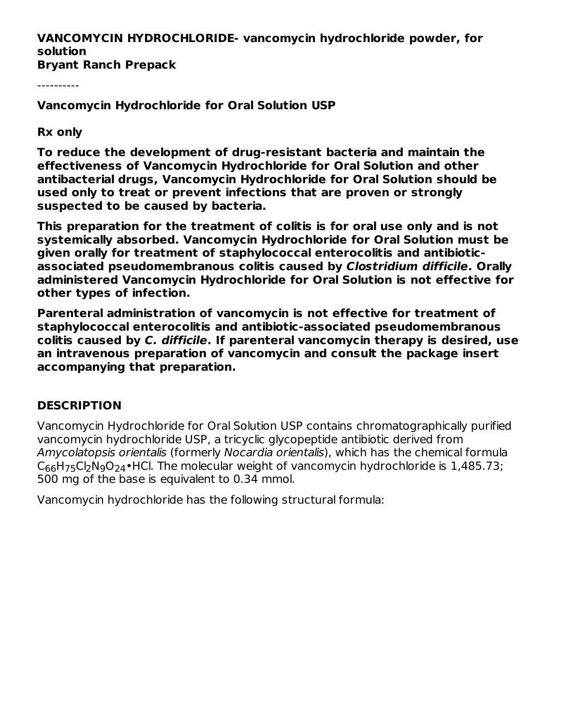# **VANCOMYCIN HYDROCHLORIDE- vancomycin hydrochloride powder, for solution**

**Bryant Ranch Prepack**

----------

**Vancomycin Hydrochloride for Oral Solution USP**

#### **Rx only**

**To reduce the development of drug-resistant bacteria and maintain the effectiveness of Vancomycin Hydrochloride for Oral Solution and other antibacterial drugs, Vancomycin Hydrochloride for Oral Solution should be used only to treat or prevent infections that are proven or strongly suspected to be caused by bacteria.**

**This preparation for the treatment of colitis is for oral use only and is not systemically absorbed. Vancomycin Hydrochloride for Oral Solution must be given orally for treatment of staphylococcal enterocolitis and antibioticassociated pseudomembranous colitis caused by Clostridium difficile. Orally administered Vancomycin Hydrochloride for Oral Solution is not effective for other types of infection.**

**Parenteral administration of vancomycin is not effective for treatment of staphylococcal enterocolitis and antibiotic-associated pseudomembranous colitis caused by C. difficile. If parenteral vancomycin therapy is desired, use an intravenous preparation of vancomycin and consult the package insert accompanying that preparation.**

#### **DESCRIPTION**

Vancomycin Hydrochloride for Oral Solution USP contains chromatographically purified vancomycin hydrochloride USP, a tricyclic glycopeptide antibiotic derived from Amycolatopsis orientalis (formerly Nocardia orientalis), which has the chemical formula  $\mathsf{C}_{66}$ H<sub>75</sub>Cl<sub>2</sub>N<sub>9</sub>O<sub>24</sub>•HCl. The molecular weight of vancomycin hydrochloride is 1,485.73; 500 mg of the base is equivalent to 0.34 mmol.

Vancomycin hydrochloride has the following structural formula: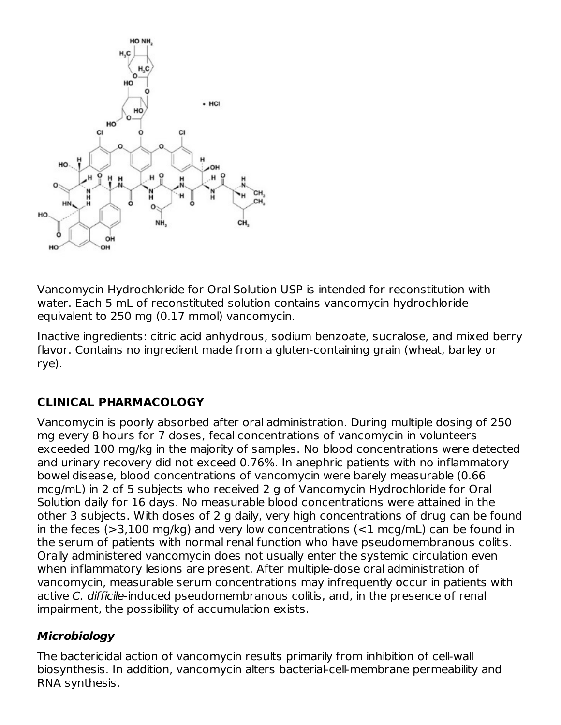

Vancomycin Hydrochloride for Oral Solution USP is intended for reconstitution with water. Each 5 mL of reconstituted solution contains vancomycin hydrochloride equivalent to 250 mg (0.17 mmol) vancomycin.

Inactive ingredients: citric acid anhydrous, sodium benzoate, sucralose, and mixed berry flavor. Contains no ingredient made from a gluten-containing grain (wheat, barley or rye).

# **CLINICAL PHARMACOLOGY**

Vancomycin is poorly absorbed after oral administration. During multiple dosing of 250 mg every 8 hours for 7 doses, fecal concentrations of vancomycin in volunteers exceeded 100 mg/kg in the majority of samples. No blood concentrations were detected and urinary recovery did not exceed 0.76%. In anephric patients with no inflammatory bowel disease, blood concentrations of vancomycin were barely measurable (0.66 mcg/mL) in 2 of 5 subjects who received 2 g of Vancomycin Hydrochloride for Oral Solution daily for 16 days. No measurable blood concentrations were attained in the other 3 subjects. With doses of 2 g daily, very high concentrations of drug can be found in the feces  $(>=3,100 \text{ mg/kg})$  and very low concentrations  $(>=1 \text{ mcg/mL})$  can be found in the serum of patients with normal renal function who have pseudomembranous colitis. Orally administered vancomycin does not usually enter the systemic circulation even when inflammatory lesions are present. After multiple-dose oral administration of vancomycin, measurable serum concentrations may infrequently occur in patients with active C. difficile-induced pseudomembranous colitis, and, in the presence of renal impairment, the possibility of accumulation exists.

#### **Microbiology**

The bactericidal action of vancomycin results primarily from inhibition of cell-wall biosynthesis. In addition, vancomycin alters bacterial-cell-membrane permeability and RNA synthesis.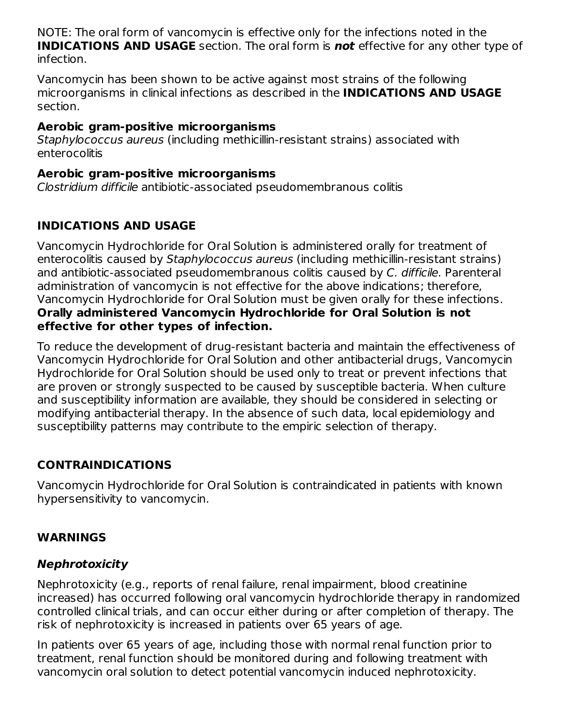NOTE: The oral form of vancomycin is effective only for the infections noted in the **INDICATIONS AND USAGE** section. The oral form is **not** effective for any other type of infection.

Vancomycin has been shown to be active against most strains of the following microorganisms in clinical infections as described in the **INDICATIONS AND USAGE** section.

#### **Aerobic gram-positive microorganisms**

Staphylococcus aureus (including methicillin-resistant strains) associated with enterocolitis

#### **Aerobic gram-positive microorganisms**

Clostridium difficile antibiotic-associated pseudomembranous colitis

# **INDICATIONS AND USAGE**

Vancomycin Hydrochloride for Oral Solution is administered orally for treatment of enterocolitis caused by Staphylococcus aureus (including methicillin-resistant strains) and antibiotic-associated pseudomembranous colitis caused by C. difficile. Parenteral administration of vancomycin is not effective for the above indications; therefore, Vancomycin Hydrochloride for Oral Solution must be given orally for these infections. **Orally administered Vancomycin Hydrochloride for Oral Solution is not effective for other types of infection.**

To reduce the development of drug-resistant bacteria and maintain the effectiveness of Vancomycin Hydrochloride for Oral Solution and other antibacterial drugs, Vancomycin Hydrochloride for Oral Solution should be used only to treat or prevent infections that are proven or strongly suspected to be caused by susceptible bacteria. When culture and susceptibility information are available, they should be considered in selecting or modifying antibacterial therapy. In the absence of such data, local epidemiology and susceptibility patterns may contribute to the empiric selection of therapy.

# **CONTRAINDICATIONS**

Vancomycin Hydrochloride for Oral Solution is contraindicated in patients with known hypersensitivity to vancomycin.

# **WARNINGS**

# **Nephrotoxicity**

Nephrotoxicity (e.g., reports of renal failure, renal impairment, blood creatinine increased) has occurred following oral vancomycin hydrochloride therapy in randomized controlled clinical trials, and can occur either during or after completion of therapy. The risk of nephrotoxicity is increased in patients over 65 years of age.

In patients over 65 years of age, including those with normal renal function prior to treatment, renal function should be monitored during and following treatment with vancomycin oral solution to detect potential vancomycin induced nephrotoxicity.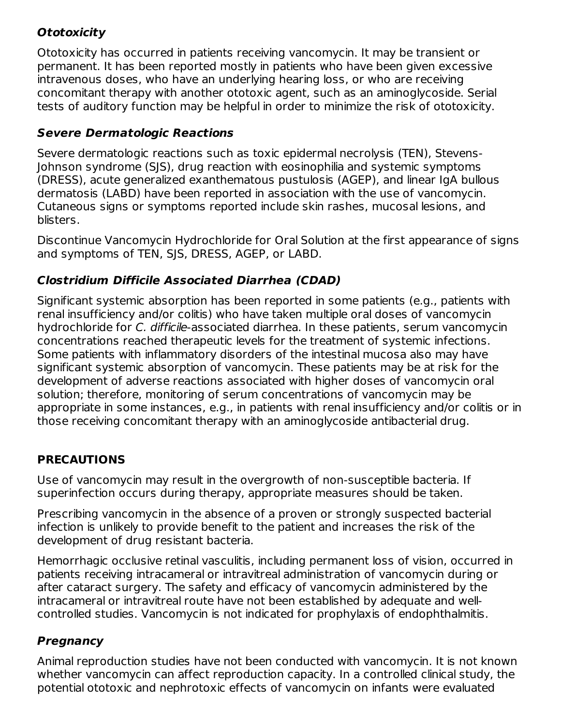# **Ototoxicity**

Ototoxicity has occurred in patients receiving vancomycin. It may be transient or permanent. It has been reported mostly in patients who have been given excessive intravenous doses, who have an underlying hearing loss, or who are receiving concomitant therapy with another ototoxic agent, such as an aminoglycoside. Serial tests of auditory function may be helpful in order to minimize the risk of ototoxicity.

## **Severe Dermatologic Reactions**

Severe dermatologic reactions such as toxic epidermal necrolysis (TEN), Stevens-Johnson syndrome (SJS), drug reaction with eosinophilia and systemic symptoms (DRESS), acute generalized exanthematous pustulosis (AGEP), and linear IgA bullous dermatosis (LABD) have been reported in association with the use of vancomycin. Cutaneous signs or symptoms reported include skin rashes, mucosal lesions, and blisters.

Discontinue Vancomycin Hydrochloride for Oral Solution at the first appearance of signs and symptoms of TEN, SJS, DRESS, AGEP, or LABD.

## **Clostridium Difficile Associated Diarrhea (CDAD)**

Significant systemic absorption has been reported in some patients (e.g., patients with renal insufficiency and/or colitis) who have taken multiple oral doses of vancomycin hydrochloride for C. difficile-associated diarrhea. In these patients, serum vancomycin concentrations reached therapeutic levels for the treatment of systemic infections. Some patients with inflammatory disorders of the intestinal mucosa also may have significant systemic absorption of vancomycin. These patients may be at risk for the development of adverse reactions associated with higher doses of vancomycin oral solution; therefore, monitoring of serum concentrations of vancomycin may be appropriate in some instances, e.g., in patients with renal insufficiency and/or colitis or in those receiving concomitant therapy with an aminoglycoside antibacterial drug.

# **PRECAUTIONS**

Use of vancomycin may result in the overgrowth of non-susceptible bacteria. If superinfection occurs during therapy, appropriate measures should be taken.

Prescribing vancomycin in the absence of a proven or strongly suspected bacterial infection is unlikely to provide benefit to the patient and increases the risk of the development of drug resistant bacteria.

Hemorrhagic occlusive retinal vasculitis, including permanent loss of vision, occurred in patients receiving intracameral or intravitreal administration of vancomycin during or after cataract surgery. The safety and efficacy of vancomycin administered by the intracameral or intravitreal route have not been established by adequate and wellcontrolled studies. Vancomycin is not indicated for prophylaxis of endophthalmitis.

# **Pregnancy**

Animal reproduction studies have not been conducted with vancomycin. It is not known whether vancomycin can affect reproduction capacity. In a controlled clinical study, the potential ototoxic and nephrotoxic effects of vancomycin on infants were evaluated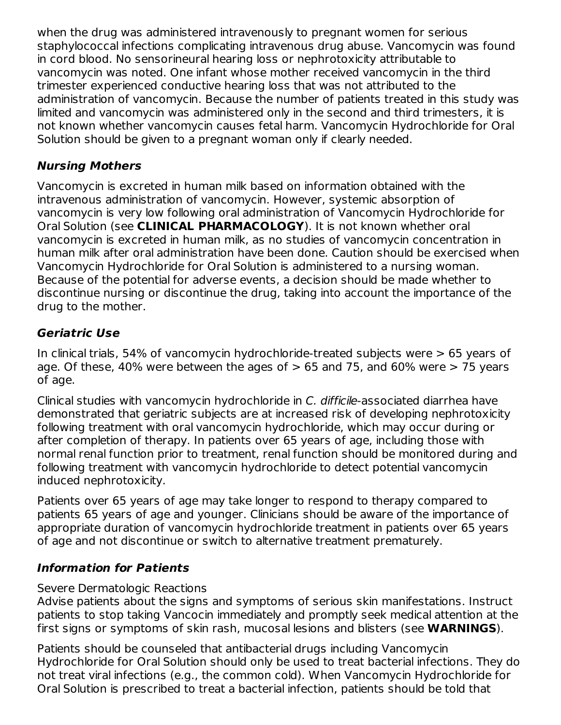when the drug was administered intravenously to pregnant women for serious staphylococcal infections complicating intravenous drug abuse. Vancomycin was found in cord blood. No sensorineural hearing loss or nephrotoxicity attributable to vancomycin was noted. One infant whose mother received vancomycin in the third trimester experienced conductive hearing loss that was not attributed to the administration of vancomycin. Because the number of patients treated in this study was limited and vancomycin was administered only in the second and third trimesters, it is not known whether vancomycin causes fetal harm. Vancomycin Hydrochloride for Oral Solution should be given to a pregnant woman only if clearly needed.

## **Nursing Mothers**

Vancomycin is excreted in human milk based on information obtained with the intravenous administration of vancomycin. However, systemic absorption of vancomycin is very low following oral administration of Vancomycin Hydrochloride for Oral Solution (see **CLINICAL PHARMACOLOGY**). It is not known whether oral vancomycin is excreted in human milk, as no studies of vancomycin concentration in human milk after oral administration have been done. Caution should be exercised when Vancomycin Hydrochloride for Oral Solution is administered to a nursing woman. Because of the potential for adverse events, a decision should be made whether to discontinue nursing or discontinue the drug, taking into account the importance of the drug to the mother.

# **Geriatric Use**

In clinical trials, 54% of vancomycin hydrochloride-treated subjects were > 65 years of age. Of these, 40% were between the ages of  $> 65$  and 75, and 60% were  $> 75$  years of age.

Clinical studies with vancomycin hydrochloride in C. difficile-associated diarrhea have demonstrated that geriatric subjects are at increased risk of developing nephrotoxicity following treatment with oral vancomycin hydrochloride, which may occur during or after completion of therapy. In patients over 65 years of age, including those with normal renal function prior to treatment, renal function should be monitored during and following treatment with vancomycin hydrochloride to detect potential vancomycin induced nephrotoxicity.

Patients over 65 years of age may take longer to respond to therapy compared to patients 65 years of age and younger. Clinicians should be aware of the importance of appropriate duration of vancomycin hydrochloride treatment in patients over 65 years of age and not discontinue or switch to alternative treatment prematurely.

## **Information for Patients**

## Severe Dermatologic Reactions

Advise patients about the signs and symptoms of serious skin manifestations. Instruct patients to stop taking Vancocin immediately and promptly seek medical attention at the first signs or symptoms of skin rash, mucosal lesions and blisters (see **WARNINGS**).

Patients should be counseled that antibacterial drugs including Vancomycin Hydrochloride for Oral Solution should only be used to treat bacterial infections. They do not treat viral infections (e.g., the common cold). When Vancomycin Hydrochloride for Oral Solution is prescribed to treat a bacterial infection, patients should be told that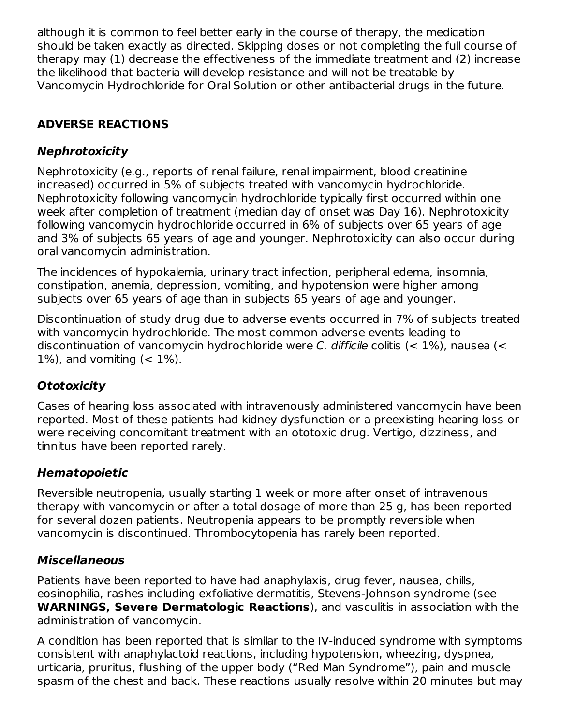although it is common to feel better early in the course of therapy, the medication should be taken exactly as directed. Skipping doses or not completing the full course of therapy may (1) decrease the effectiveness of the immediate treatment and (2) increase the likelihood that bacteria will develop resistance and will not be treatable by Vancomycin Hydrochloride for Oral Solution or other antibacterial drugs in the future.

# **ADVERSE REACTIONS**

# **Nephrotoxicity**

Nephrotoxicity (e.g., reports of renal failure, renal impairment, blood creatinine increased) occurred in 5% of subjects treated with vancomycin hydrochloride. Nephrotoxicity following vancomycin hydrochloride typically first occurred within one week after completion of treatment (median day of onset was Day 16). Nephrotoxicity following vancomycin hydrochloride occurred in 6% of subjects over 65 years of age and 3% of subjects 65 years of age and younger. Nephrotoxicity can also occur during oral vancomycin administration.

The incidences of hypokalemia, urinary tract infection, peripheral edema, insomnia, constipation, anemia, depression, vomiting, and hypotension were higher among subjects over 65 years of age than in subjects 65 years of age and younger.

Discontinuation of study drug due to adverse events occurred in 7% of subjects treated with vancomycin hydrochloride. The most common adverse events leading to discontinuation of vancomycin hydrochloride were C. difficile colitis  $(< 1\%)$ , nausea  $(<$ 1%), and vomiting  $(< 1\%)$ .

# **Ototoxicity**

Cases of hearing loss associated with intravenously administered vancomycin have been reported. Most of these patients had kidney dysfunction or a preexisting hearing loss or were receiving concomitant treatment with an ototoxic drug. Vertigo, dizziness, and tinnitus have been reported rarely.

# **Hematopoietic**

Reversible neutropenia, usually starting 1 week or more after onset of intravenous therapy with vancomycin or after a total dosage of more than 25 g, has been reported for several dozen patients. Neutropenia appears to be promptly reversible when vancomycin is discontinued. Thrombocytopenia has rarely been reported.

# **Miscellaneous**

Patients have been reported to have had anaphylaxis, drug fever, nausea, chills, eosinophilia, rashes including exfoliative dermatitis, Stevens-Johnson syndrome (see **WARNINGS, Severe Dermatologic Reactions**), and vasculitis in association with the administration of vancomycin.

A condition has been reported that is similar to the IV-induced syndrome with symptoms consistent with anaphylactoid reactions, including hypotension, wheezing, dyspnea, urticaria, pruritus, flushing of the upper body ("Red Man Syndrome"), pain and muscle spasm of the chest and back. These reactions usually resolve within 20 minutes but may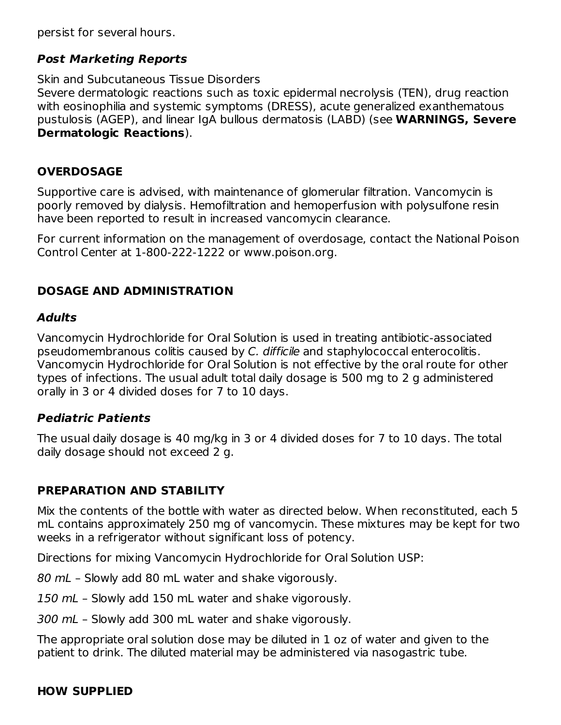persist for several hours.

### **Post Marketing Reports**

Skin and Subcutaneous Tissue Disorders Severe dermatologic reactions such as toxic epidermal necrolysis (TEN), drug reaction with eosinophilia and systemic symptoms (DRESS), acute generalized exanthematous pustulosis (AGEP), and linear IgA bullous dermatosis (LABD) (see **WARNINGS, Severe Dermatologic Reactions**).

## **OVERDOSAGE**

Supportive care is advised, with maintenance of glomerular filtration. Vancomycin is poorly removed by dialysis. Hemofiltration and hemoperfusion with polysulfone resin have been reported to result in increased vancomycin clearance.

For current information on the management of overdosage, contact the National Poison Control Center at 1-800-222-1222 or www.poison.org.

## **DOSAGE AND ADMINISTRATION**

#### **Adults**

Vancomycin Hydrochloride for Oral Solution is used in treating antibiotic-associated pseudomembranous colitis caused by C. difficile and staphylococcal enterocolitis. Vancomycin Hydrochloride for Oral Solution is not effective by the oral route for other types of infections. The usual adult total daily dosage is 500 mg to 2 g administered orally in 3 or 4 divided doses for 7 to 10 days.

#### **Pediatric Patients**

The usual daily dosage is 40 mg/kg in 3 or 4 divided doses for 7 to 10 days. The total daily dosage should not exceed 2 g.

## **PREPARATION AND STABILITY**

Mix the contents of the bottle with water as directed below. When reconstituted, each 5 mL contains approximately 250 mg of vancomycin. These mixtures may be kept for two weeks in a refrigerator without significant loss of potency.

Directions for mixing Vancomycin Hydrochloride for Oral Solution USP:

80 mL – Slowly add 80 mL water and shake vigorously.

150 mL - Slowly add 150 mL water and shake vigorously.

300 mL – Slowly add 300 mL water and shake vigorously.

The appropriate oral solution dose may be diluted in 1 oz of water and given to the patient to drink. The diluted material may be administered via nasogastric tube.

## **HOW SUPPLIED**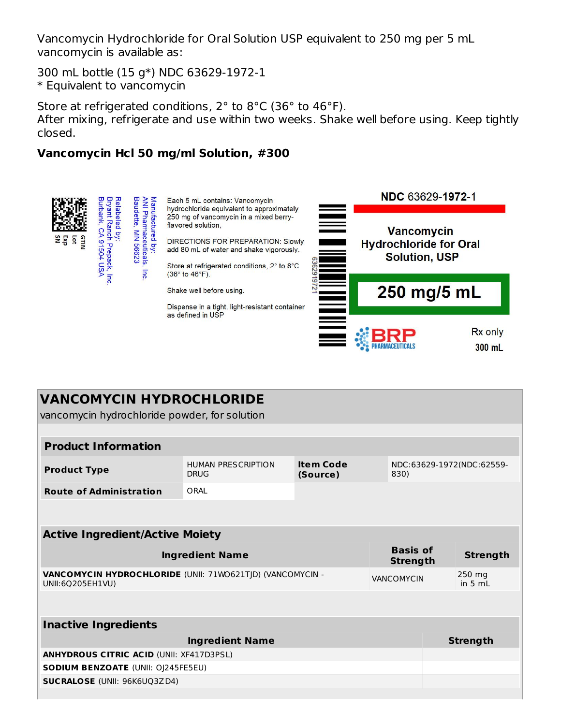Vancomycin Hydrochloride for Oral Solution USP equivalent to 250 mg per 5 mL vancomycin is available as:

300 mL bottle (15 g\*) NDC 63629-1972-1 \* Equivalent to vancomycin

Store at refrigerated conditions, 2° to 8°C (36° to 46°F). After mixing, refrigerate and use within two weeks. Shake well before using. Keep tightly closed.

### **Vancomycin Hcl 50 mg/ml Solution, #300**



| <b>VANCOMYCIN HYDROCHLORIDE</b><br>vancomycin hydrochloride powder, for solution                   |                                          |                                      |  |                           |                   |  |  |  |
|----------------------------------------------------------------------------------------------------|------------------------------------------|--------------------------------------|--|---------------------------|-------------------|--|--|--|
|                                                                                                    |                                          |                                      |  |                           |                   |  |  |  |
| <b>Product Information</b>                                                                         |                                          |                                      |  |                           |                   |  |  |  |
| <b>Product Type</b>                                                                                | <b>HUMAN PRESCRIPTION</b><br><b>DRUG</b> | <b>Item Code</b><br>(Source)<br>830) |  | NDC:63629-1972(NDC:62559- |                   |  |  |  |
| <b>Route of Administration</b>                                                                     | ORAL                                     |                                      |  |                           |                   |  |  |  |
|                                                                                                    |                                          |                                      |  |                           |                   |  |  |  |
| <b>Active Ingredient/Active Moiety</b>                                                             |                                          |                                      |  |                           |                   |  |  |  |
| <b>Basis of</b><br><b>Ingredient Name</b><br><b>Strength</b>                                       |                                          |                                      |  |                           | <b>Strength</b>   |  |  |  |
| VANCOMYCIN HYDROCHLORIDE (UNII: 71WO621TJD) (VANCOMYCIN -<br><b>VANCOMYCIN</b><br>UNII:6Q205EH1VU) |                                          |                                      |  |                           | 250 mg<br>in 5 mL |  |  |  |
|                                                                                                    |                                          |                                      |  |                           |                   |  |  |  |
| <b>Inactive Ingredients</b>                                                                        |                                          |                                      |  |                           |                   |  |  |  |
| <b>Ingredient Name</b>                                                                             |                                          |                                      |  |                           | <b>Strength</b>   |  |  |  |
| <b>ANHYDROUS CITRIC ACID (UNII: XF417D3PSL)</b>                                                    |                                          |                                      |  |                           |                   |  |  |  |
| <b>SODIUM BENZOATE (UNII: OJ245FE5EU)</b>                                                          |                                          |                                      |  |                           |                   |  |  |  |
| <b>SUCRALOSE (UNII: 96K6UQ3ZD4)</b>                                                                |                                          |                                      |  |                           |                   |  |  |  |
|                                                                                                    |                                          |                                      |  |                           |                   |  |  |  |